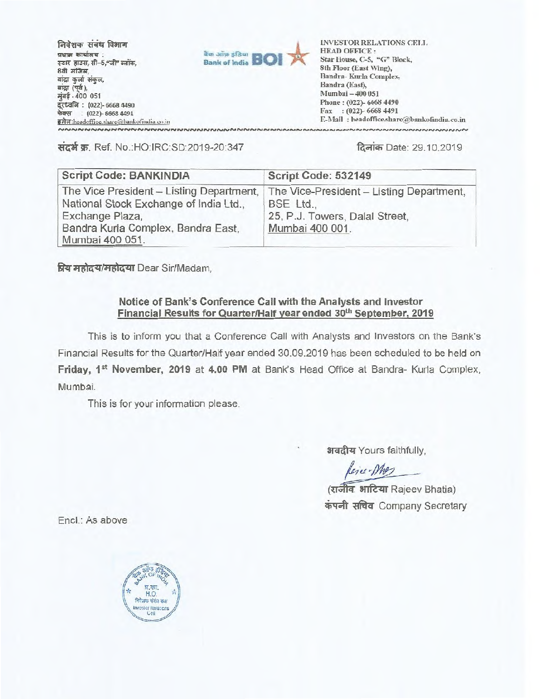**मिवेशक संबंध विभाग प्रधान कार्यालय**: **स्टार हाउस, सी-5,"जी" ब्लॉक,** 8वी मंजिल,<br>बांद्रा कुर्जा संकुल, **aig** (पूर्व), **मंबई - 400 051** aid **. (022)- 6668 4490 \*-4S9' (022)- 6668 4491** 



**3147:headofficc.sharebankofutdia.co.in INVESTOR RELATIONS CELL HEAD OFFICE : Star House, C-5, "G" Block, 8th Floor (East Wing), Sandra- Kurla Complex, Sandra (East), Mumbai — 400 051 Phone : (022)- 6668 4490 Fax : (022)- 6668 4491 E-Mail : headoffice.share(a)bankofmdia.coin**

**4:141t w. Ref. No.:HO:IRC:SD:2019-20:347 famicil Date: 29.10.2019** 

| <b>Script Code: BANKINDIA</b>                                                                         | Script Code: 532149                                                                     |
|-------------------------------------------------------------------------------------------------------|-----------------------------------------------------------------------------------------|
| The Vice President - Listing Department,<br>National Stock Exchange of India Ltd.,<br>Exchange Plaza, | The Vice-President - Listing Department,<br>BSE Ltd.,<br>25, P.J. Towers, Dalal Street, |
| Bandra Kurla Complex, Bandra East,<br>Mumbai 400 051.                                                 | Mumbai 400 001.                                                                         |

**fiti410 444/Ji0 gtu Dear Sir/Madam,** 

## **Notice of Bank's Conference Call with the Analysts and Investor**  Financial Results for Quarter/Half year ended 30<sup>th</sup> September, 2019

**This is to inform you that a Conference Call with Analysts and Investors on the Bank's Financial Results for the Quarter/Half year ended 30.09.2019 has been scheduled to be held on**  Friday, 1<sup>st</sup> November, 2019 at 4.00 PM at Bank's Head Office at Bandra- Kurla Complex, **Mu mbai.** 

**This is for your information please.** 

**3r4azr Yours faithfully,** 

Rejee-Mas

(राजीव **भाटिया** Rajeev Bhatia) **\*tr41 •taci Company Secretary** 

**Encl.: As above**